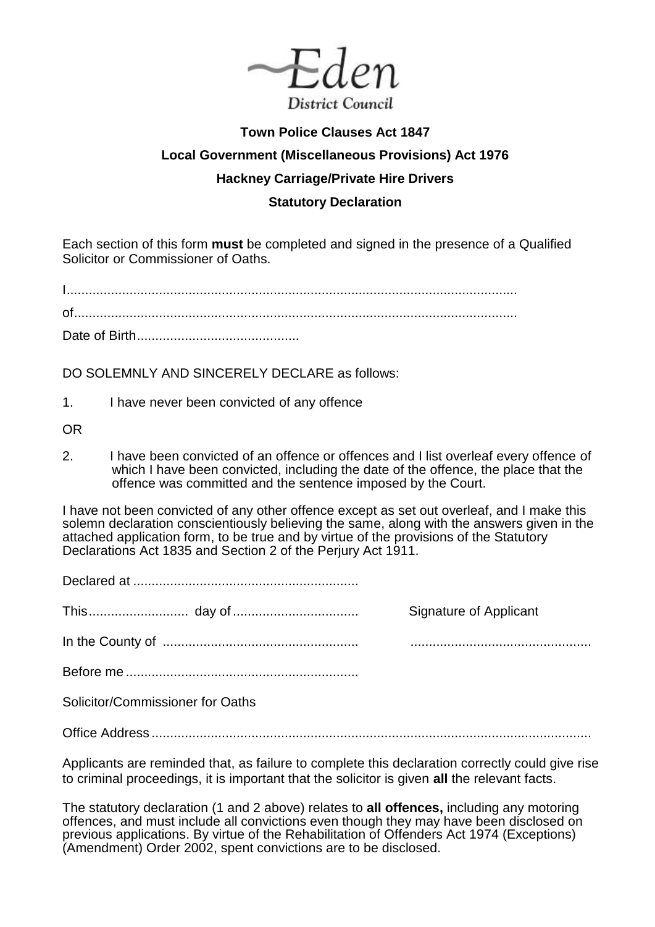

## **Town Police Clauses Act 1847 Local Government (Miscellaneous Provisions) Act 1976 Hackney Carriage/Private Hire Drivers Statutory Declaration**

## Each section of this form **must** be completed and signed in the presence of a Qualified Solicitor or Commissioner of Oaths.

I .......................................................................................................................... of........................................................................................................................

Date of Birth ............................................

DO SOLEMNLY AND SINCERELY DECLARE as follows:

1. I have never been convicted of any offence

OR

2. I have been convicted of an offence or offences and I list overleaf every offence of which I have been convicted, including the date of the offence, the place that the offence was committed and the sentence imposed by the Court.

I have not been convicted of any other offence except as set out overleaf, and I make this solemn declaration conscientiously believing the same, along with the answers given in the attached application form, to be true and by virtue of the provisions of the Statutory Declarations Act 1835 and Section 2 of the Perjury Act 1911.

Declared at .............................................................

This ........................... day of .................................. Signature of Applicant

In the County of ..................................................... .................................................

Before me ...............................................................

Solicitor/Commissioner for Oaths

Office Address .......................................................................................................................

Applicants are reminded that, as failure to complete this declaration correctly could give rise to criminal proceedings, it is important that the solicitor is given **all** the relevant facts.

The statutory declaration (1 and 2 above) relates to **all offences,** including any motoring offences, and must include all convictions even though they may have been disclosed on previous applications. By virtue of the Rehabilitation of Offenders Act 1974 (Exceptions) (Amendment) Order 2002, spent convictions are to be disclosed.